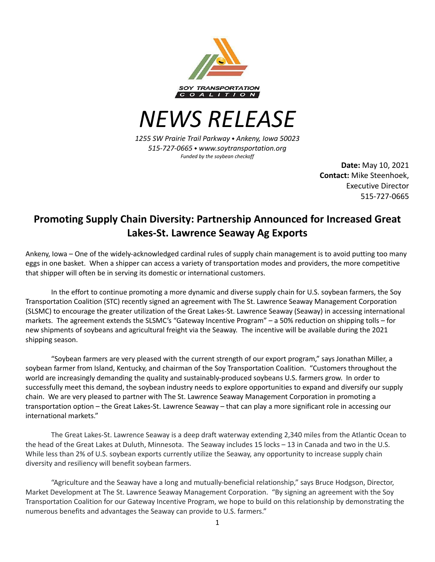

*NEWS RELEASE*

*1255 SW Prairie Trail Parkway* ⬩ *Ankeny, Iowa 50023 515-727-0665* ⬩ *www.soytransportation.org Funded by the soybean checkoff*

> **Date:** May 10, 2021 **Contact:** Mike Steenhoek, Executive Director 515-727-0665

## **Promoting Supply Chain Diversity: Partnership Announced for Increased Great Lakes-St. Lawrence Seaway Ag Exports**

Ankeny, Iowa – One of the widely-acknowledged cardinal rules of supply chain management is to avoid putting too many eggs in one basket. When a shipper can access a variety of transportation modes and providers, the more competitive that shipper will often be in serving its domestic or international customers.

In the effort to continue promoting a more dynamic and diverse supply chain for U.S. soybean farmers, the Soy Transportation Coalition (STC) recently signed an agreement with The St. Lawrence Seaway Management Corporation (SLSMC) to encourage the greater utilization of the Great Lakes-St. Lawrence Seaway (Seaway) in accessing international markets. The agreement extends the SLSMC's "Gateway Incentive Program" – a 50% reduction on shipping tolls – for new shipments of soybeans and agricultural freight via the Seaway. The incentive will be available during the 2021 shipping season.

"Soybean farmers are very pleased with the current strength of our export program," says Jonathan Miller, a soybean farmer from Island, Kentucky, and chairman of the Soy Transportation Coalition. "Customers throughout the world are increasingly demanding the quality and sustainably-produced soybeans U.S. farmers grow. In order to successfully meet this demand, the soybean industry needs to explore opportunities to expand and diversify our supply chain. We are very pleased to partner with The St. Lawrence Seaway Management Corporation in promoting a transportation option – the Great Lakes-St. Lawrence Seaway – that can play a more significant role in accessing our international markets."

The Great Lakes-St. Lawrence Seaway is a deep draft waterway extending 2,340 miles from the Atlantic Ocean to the head of the Great Lakes at Duluth, Minnesota. The Seaway includes 15 locks – 13 in Canada and two in the U.S. While less than 2% of U.S. soybean exports currently utilize the Seaway, any opportunity to increase supply chain diversity and resiliency will benefit soybean farmers.

"Agriculture and the Seaway have a long and mutually-beneficial relationship," says Bruce Hodgson, Director, Market Development at The St. Lawrence Seaway Management Corporation. "By signing an agreement with the Soy Transportation Coalition for our Gateway Incentive Program, we hope to build on this relationship by demonstrating the numerous benefits and advantages the Seaway can provide to U.S. farmers."